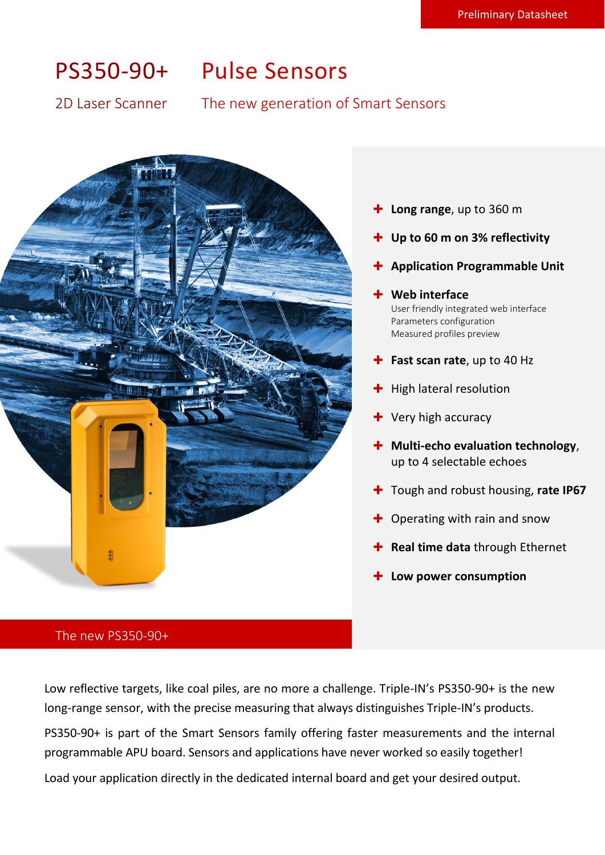# PS350-90+ Pulse Sensors

# 2D Laser Scanner The new generation of Smart Sensors



- **Long range**, up to 360 m
- **Up to 60 m on 3% reflectivity**
- **Application Programmable Unit**
- **Web interface**

User friendly integrated web interface Parameters configuration Measured profiles preview

- **Fast scan rate**, up to 40 Hz
- $+$  High lateral resolution
- $+$  Very high accuracy
- **+** Multi-echo evaluation technology, up to 4 selectable echoes
- **+** Tough and robust housing, rate IP67
- $\div$  Operating with rain and snow
- **+** Real time data through Ethernet
- **Low power consumption**

### The new PS350-90+

Low reflective targets, like coal piles, are no more a challenge. Triple-IN's PS350-90+ is the new long-range sensor, with the precise measuring that always distinguishes Triple-IN's products.

PS350-90+ is part of the Smart Sensors family offering faster measurements and the internal programmable APU board. Sensors and applications have never worked so easily together!

Load your application directly in the dedicated internal board and get your desired output.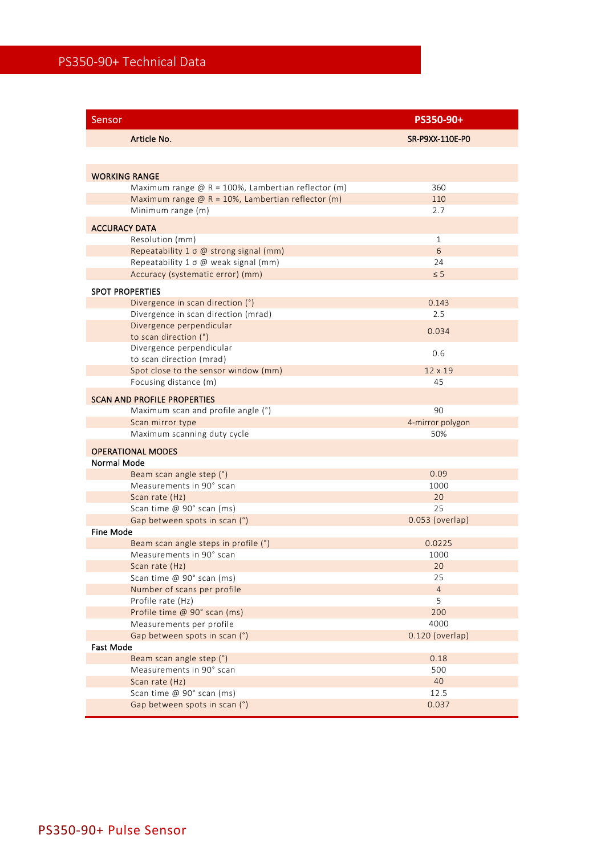| Sensor                                                   | PS350-90+        |
|----------------------------------------------------------|------------------|
| Article No.                                              | SR-P9XX-110E-P0  |
|                                                          |                  |
| <b>WORKING RANGE</b>                                     |                  |
| Maximum range $@R = 100\%$ , Lambertian reflector (m)    | 360              |
| Maximum range $\omega$ R = 10%, Lambertian reflector (m) | 110              |
| Minimum range (m)                                        | 2.7              |
| <b>ACCURACY DATA</b>                                     |                  |
| Resolution (mm)                                          | $\mathbf{1}$     |
| Repeatability 1 o @ strong signal (mm)                   | 6                |
| Repeatability 1 o @ weak signal (mm)                     | 24               |
| Accuracy (systematic error) (mm)                         | $\leq$ 5         |
| <b>SPOT PROPERTIES</b>                                   |                  |
| Divergence in scan direction (°)                         | 0.143            |
| Divergence in scan direction (mrad)                      | 2.5              |
| Divergence perpendicular                                 |                  |
| to scan direction (°)                                    | 0.034            |
| Divergence perpendicular                                 | 0.6              |
| to scan direction (mrad)                                 |                  |
| Spot close to the sensor window (mm)                     | 12 x 19          |
| Focusing distance (m)                                    | 45               |
| <b>SCAN AND PROFILE PROPERTIES</b>                       |                  |
| Maximum scan and profile angle (°)                       | 90               |
| Scan mirror type                                         | 4-mirror polygon |
| Maximum scanning duty cycle                              | 50%              |
| <b>OPERATIONAL MODES</b>                                 |                  |
| Normal Mode                                              |                  |
| Beam scan angle step (°)                                 | 0.09             |
| Measurements in 90° scan                                 | 1000             |
| Scan rate (Hz)                                           | 20               |
| Scan time @ 90° scan (ms)                                | 25               |
| Gap between spots in scan (°)                            | 0.053 (overlap)  |
| <b>Fine Mode</b>                                         |                  |
| Beam scan angle steps in profile (°)                     | 0.0225           |
| Measurements in 90° scan                                 | 1000             |
| Scan rate (Hz)                                           | 20               |
| Scan time @ 90° scan (ms)                                | 25               |
| Number of scans per profile                              | $\overline{4}$   |
| Profile rate (Hz)                                        | 5                |
| Profile time @ 90° scan (ms)                             | 200              |
| Measurements per profile                                 | 4000             |
| Gap between spots in scan (°)                            | 0.120 (overlap)  |
| Fast Mode                                                |                  |
| Beam scan angle step (°)                                 | 0.18             |
| Measurements in 90° scan                                 | 500              |
| Scan rate (Hz)                                           | 40               |
| Scan time @ 90° scan (ms)                                | 12.5             |
| Gap between spots in scan (°)                            | 0.037            |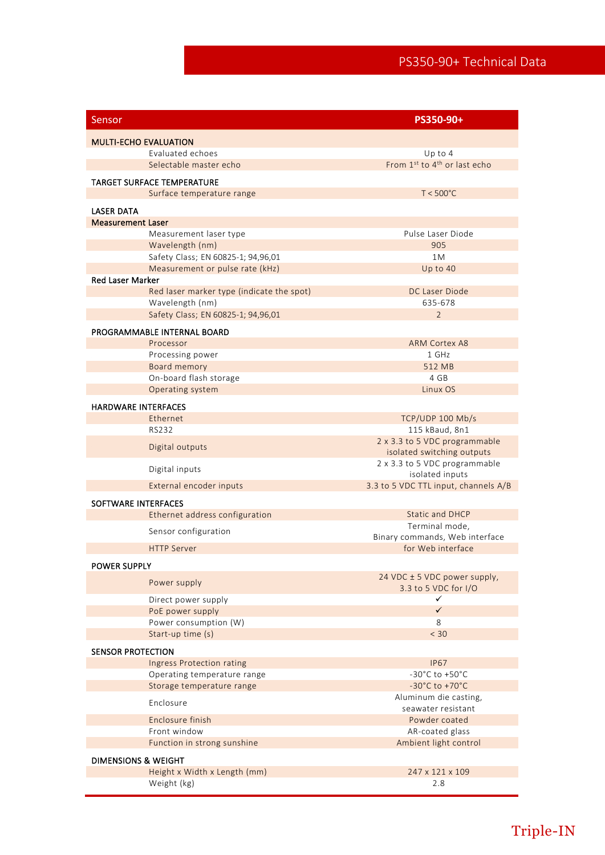| Sensor                                                     | PS350-90+                                                   |  |
|------------------------------------------------------------|-------------------------------------------------------------|--|
| <b>MULTI-ECHO EVALUATION</b>                               |                                                             |  |
| Evaluated echoes                                           | Up to $4$                                                   |  |
| Selectable master echo                                     | From 1st to 4 <sup>th</sup> or last echo                    |  |
|                                                            |                                                             |  |
| TARGET SURFACE TEMPERATURE                                 | $T < 500^{\circ}$ C                                         |  |
| Surface temperature range                                  |                                                             |  |
| <b>LASER DATA</b>                                          |                                                             |  |
| <b>Measurement Laser</b>                                   |                                                             |  |
| Measurement laser type                                     | Pulse Laser Diode                                           |  |
| Wavelength (nm)                                            | 905                                                         |  |
| Safety Class; EN 60825-1; 94,96,01                         | 1M                                                          |  |
| Measurement or pulse rate (kHz)<br><b>Red Laser Marker</b> | Up to 40                                                    |  |
| Red laser marker type (indicate the spot)                  | DC Laser Diode                                              |  |
| Wavelength (nm)                                            | 635-678                                                     |  |
| Safety Class; EN 60825-1; 94,96,01                         | $\overline{2}$                                              |  |
|                                                            |                                                             |  |
| PROGRAMMABLE INTERNAL BOARD                                |                                                             |  |
| Processor                                                  | <b>ARM Cortex A8</b>                                        |  |
| Processing power                                           | 1 GHz                                                       |  |
| Board memory                                               | 512 MB                                                      |  |
| On-board flash storage                                     | 4 GB                                                        |  |
| Operating system                                           | Linux OS                                                    |  |
| <b>HARDWARE INTERFACES</b>                                 |                                                             |  |
| Ethernet                                                   | TCP/UDP 100 Mb/s                                            |  |
| <b>RS232</b>                                               | 115 kBaud, 8n1                                              |  |
| Digital outputs                                            | 2 x 3.3 to 5 VDC programmable<br>isolated switching outputs |  |
| Digital inputs                                             | 2 x 3.3 to 5 VDC programmable<br>isolated inputs            |  |
| External encoder inputs                                    | 3.3 to 5 VDC TTL input, channels A/B                        |  |
| SOFTWARE INTERFACES                                        |                                                             |  |
| Ethernet address configuration                             | <b>Static and DHCP</b>                                      |  |
|                                                            | Terminal mode,                                              |  |
| Sensor configuration                                       | Binary commands, Web interface                              |  |
| <b>HTTP Server</b>                                         | for Web interface                                           |  |
| POWER SUPPLY                                               |                                                             |  |
|                                                            | 24 VDC ± 5 VDC power supply,                                |  |
| Power supply                                               | 3.3 to 5 VDC for I/O                                        |  |
| Direct power supply                                        | ✓                                                           |  |
| PoE power supply                                           | $\checkmark$                                                |  |
| Power consumption (W)                                      | 8                                                           |  |
| Start-up time (s)                                          | < 30                                                        |  |
| <b>SENSOR PROTECTION</b>                                   |                                                             |  |
| <b>Ingress Protection rating</b>                           | <b>IP67</b>                                                 |  |
| Operating temperature range                                | $-30^{\circ}$ C to $+50^{\circ}$ C                          |  |
| Storage temperature range                                  | $-30^{\circ}$ C to $+70^{\circ}$ C                          |  |
| Enclosure                                                  | Aluminum die casting,                                       |  |
|                                                            | seawater resistant                                          |  |
| Enclosure finish                                           | Powder coated                                               |  |
| Front window                                               | AR-coated glass                                             |  |
| Function in strong sunshine                                | Ambient light control                                       |  |
| <b>DIMENSIONS &amp; WEIGHT</b>                             |                                                             |  |
| Height x Width x Length (mm)                               | 247 x 121 x 109                                             |  |
| Weight (kg)                                                | 2.8                                                         |  |